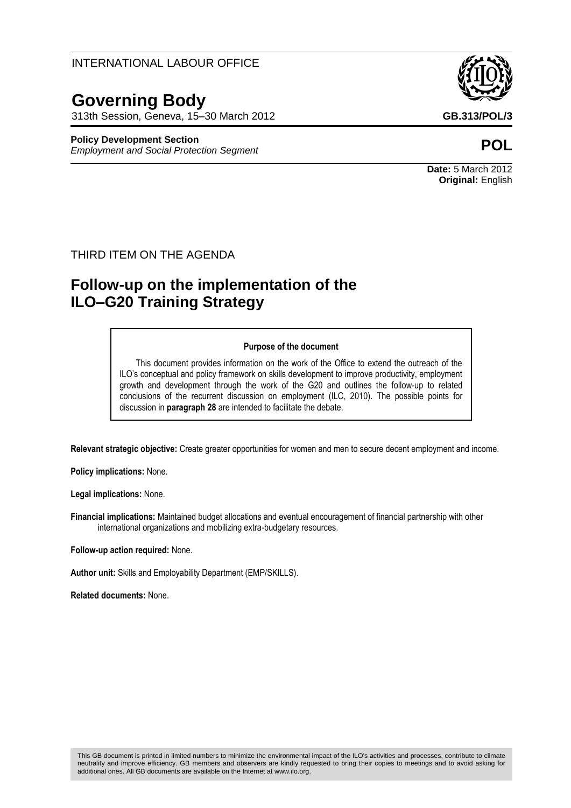INTERNATIONAL LABOUR OFFICE

# **Governing Body**

313th Session, Geneva, 15–30 March 2012 **GB.313/POL/3**

#### **Policy Development Section**

*Employment and Social Protection Segment* **POL**



**Date:** 5 March 2012 **Original:** English

## THIRD ITEM ON THE AGENDA

## **Follow-up on the implementation of the ILO–G20 Training Strategy**

#### **Purpose of the document**

This document provides information on the work of the Office to extend the outreach of the ILO's conceptual and policy framework on skills development to improve productivity, employment growth and development through the work of the G20 and outlines the follow-up to related conclusions of the recurrent discussion on employment (ILC, 2010). The possible points for discussion in **paragraph 28** are intended to facilitate the debate.

**Relevant strategic objective:** Create greater opportunities for women and men to secure decent employment and income.

**Policy implications:** None.

**Legal implications:** None.

**Financial implications:** Maintained budget allocations and eventual encouragement of financial partnership with other international organizations and mobilizing extra-budgetary resources.

**Follow-up action required:** None.

**Author unit:** Skills and Employability Department (EMP/SKILLS).

**Related documents:** None.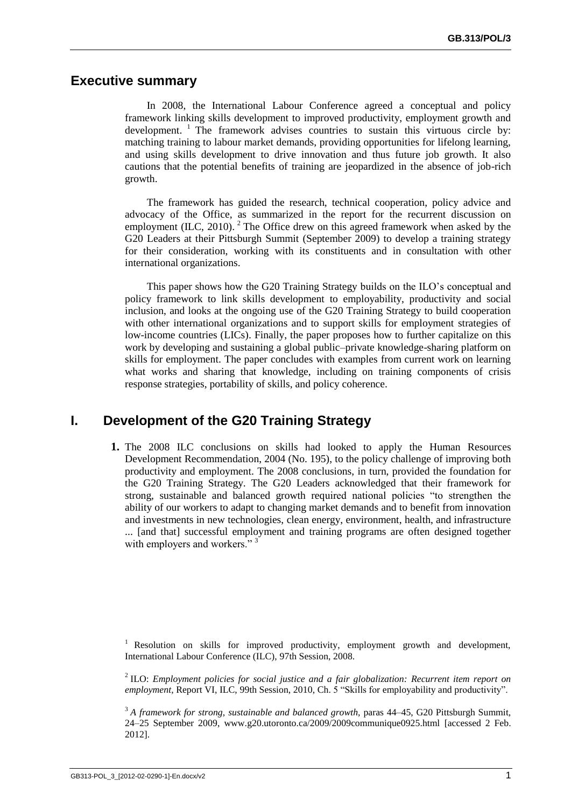## **Executive summary**

In 2008, the International Labour Conference agreed a conceptual and policy framework linking skills development to improved productivity, employment growth and development. <sup>1</sup> The framework advises countries to sustain this virtuous circle by: matching training to labour market demands, providing opportunities for lifelong learning, and using skills development to drive innovation and thus future job growth. It also cautions that the potential benefits of training are jeopardized in the absence of job-rich growth.

The framework has guided the research, technical cooperation, policy advice and advocacy of the Office, as summarized in the report for the recurrent discussion on employment (ILC, 2010).  $2$  The Office drew on this agreed framework when asked by the G20 Leaders at their Pittsburgh Summit (September 2009) to develop a training strategy for their consideration, working with its constituents and in consultation with other international organizations.

This paper shows how the G20 Training Strategy builds on the ILO's conceptual and policy framework to link skills development to employability, productivity and social inclusion, and looks at the ongoing use of the G20 Training Strategy to build cooperation with other international organizations and to support skills for employment strategies of low-income countries (LICs). Finally, the paper proposes how to further capitalize on this work by developing and sustaining a global public–private knowledge-sharing platform on skills for employment. The paper concludes with examples from current work on learning what works and sharing that knowledge, including on training components of crisis response strategies, portability of skills, and policy coherence.

## **I. Development of the G20 Training Strategy**

**1.** The 2008 ILC conclusions on skills had looked to apply the Human Resources Development Recommendation, 2004 (No. 195), to the policy challenge of improving both productivity and employment. The 2008 conclusions, in turn, provided the foundation for the G20 Training Strategy. The G20 Leaders acknowledged that their framework for strong, sustainable and balanced growth required national policies "to strengthen the ability of our workers to adapt to changing market demands and to benefit from innovation and investments in new technologies, clean energy, environment, health, and infrastructure ... [and that] successful employment and training programs are often designed together with employers and workers."<sup>3</sup>

<sup>1</sup> Resolution on skills for improved productivity, employment growth and development, International Labour Conference (ILC), 97th Session, 2008.

2 ILO: *Employment policies for social justice and a fair globalization: Recurrent item report on employment*, Report VI, ILC, 99th Session, 2010, Ch. 5 "Skills for employability and productivity".

<sup>3</sup> *A framework for strong, sustainable and balanced growth,* paras 44–45, G20 Pittsburgh Summit, 24–25 September 2009, [www.g20.utoronto.ca/2009/2009communique0925.html](http://www.g20.utoronto.ca/2009/2009communique0925.html) [accessed 2 Feb. 2012].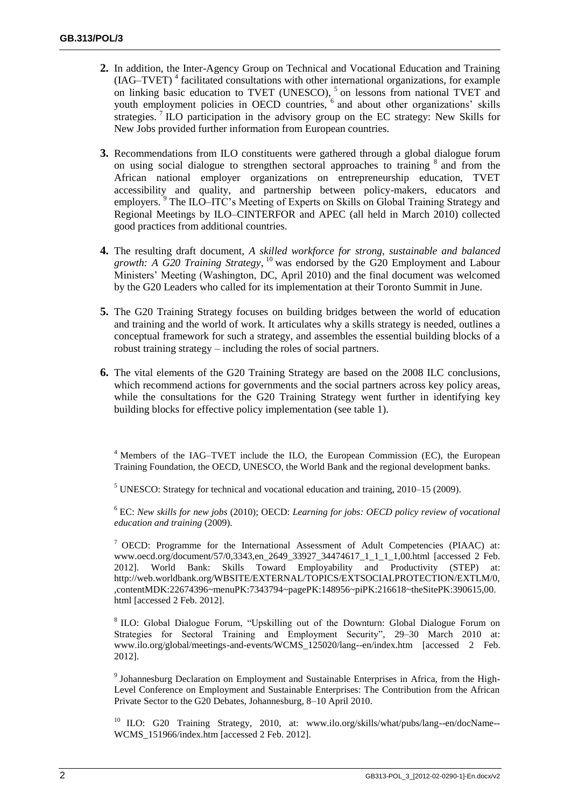- **2.** In addition, the Inter-Agency Group on Technical and Vocational Education and Training (IAG–TVET)<sup>4</sup> facilitated consultations with other international organizations, for example on linking basic education to TVET (UNESCO), <sup>5</sup> on lessons from national TVET and youth employment policies in OECD countries, <sup>6</sup> and about other organizations' skills strategies.<sup>7</sup> ILO participation in the advisory group on the EC strategy: New Skills for New Jobs provided further information from European countries.
- **3.** Recommendations from ILO constituents were gathered through a global dialogue forum on using social dialogue to strengthen sectoral approaches to training <sup>8</sup> and from the African national employer organizations on entrepreneurship education, TVET accessibility and quality, and partnership between policy-makers, educators and employers. <sup>9</sup> The ILO–ITC's Meeting of Experts on Skills on Global Training Strategy and Regional Meetings by ILO–CINTERFOR and APEC (all held in March 2010) collected good practices from additional countries.
- **4.** The resulting draft document, *A skilled workforce for strong, sustainable and balanced growth: A G20 Training Strategy*, <sup>10</sup> was endorsed by the G20 Employment and Labour Ministers' Meeting (Washington, DC, April 2010) and the final document was welcomed by the G20 Leaders who called for its implementation at their Toronto Summit in June.
- **5.** The G20 Training Strategy focuses on building bridges between the world of education and training and the world of work. It articulates why a skills strategy is needed, outlines a conceptual framework for such a strategy, and assembles the essential building blocks of a robust training strategy – including the roles of social partners.
- **6.** The vital elements of the G20 Training Strategy are based on the 2008 ILC conclusions, which recommend actions for governments and the social partners across key policy areas, while the consultations for the G20 Training Strategy went further in identifying key building blocks for effective policy implementation (see table 1).

<sup>4</sup> Members of the IAG–TVET include the ILO, the European Commission (EC), the European Training Foundation, the OECD, UNESCO, the World Bank and the regional development banks.

 $<sup>5</sup>$  UNESCO: Strategy for technical and vocational education and training, 2010–15 (2009).</sup>

<sup>6</sup> EC: *New skills for new jobs* (2010); OECD: *Learning for jobs: OECD policy review of vocational education and training* (2009).

<sup>7</sup> OECD: Programme for the International Assessment of Adult Competencies (PIAAC) at: [www.oecd.org/document/57/0,3343,en\\_2649\\_33927\\_34474617\\_1\\_1\\_1\\_1,00.html](http://www.oecd.org/document/57/0,3343,en_2649_33927_34474617_1_1_1_1,00.html) [accessed 2 Feb. 2012]. World Bank: Skills Toward Employability and Productivity (STEP) at: [http://web.worldbank.org/WBSITE/EXTERNAL/TOPICS/EXTSOCIALPROTECTION/EXTLM/0,](http://web.worldbank.org/WBSITE/EXTERNAL/TOPICS/EXTSOCIALPROTECTION/EXTLM/0,,contentMDK:22674396~menuPK:7343794~pagePK:148956~piPK:216618~theSitePK:390615,00.html) [,contentMDK:22674396~menuPK:7343794~pagePK:148956~piPK:216618~theSitePK:390615,00.](http://web.worldbank.org/WBSITE/EXTERNAL/TOPICS/EXTSOCIALPROTECTION/EXTLM/0,,contentMDK:22674396~menuPK:7343794~pagePK:148956~piPK:216618~theSitePK:390615,00.html) [html](http://web.worldbank.org/WBSITE/EXTERNAL/TOPICS/EXTSOCIALPROTECTION/EXTLM/0,,contentMDK:22674396~menuPK:7343794~pagePK:148956~piPK:216618~theSitePK:390615,00.html) [accessed 2 Feb. 2012].

<sup>8</sup> ILO: Global Dialogue Forum, "Upskilling out of the Downturn: Global Dialogue Forum on Strategies for Sectoral Training and Employment Security", 29–30 March 2010 at: [www.ilo.org/global/meetings-and-events/WCMS\\_125020/lang--en/index.htm](http://www.ilo.org/global/meetings-and-events/WCMS_125020/lang--en/index.html) [accessed 2 Feb. 2012].

<sup>9</sup> Johannesburg Declaration on Employment and Sustainable Enterprises in Africa, from the High-Level Conference on Employment and Sustainable Enterprises: The Contribution from the African Private Sector to the G20 Debates, Johannesburg, 8–10 April 2010.

<sup>10</sup> ILO: G20 Training Strategy, 2010, at: [www.ilo.org/skills/what/pubs/lang--en/docName--](http://www.ilo.org/skills/what/pubs/lang--en/docName--WCMS_151966/index.htm) [WCMS\\_151966/index.htm](http://www.ilo.org/skills/what/pubs/lang--en/docName--WCMS_151966/index.htm) [accessed 2 Feb. 2012].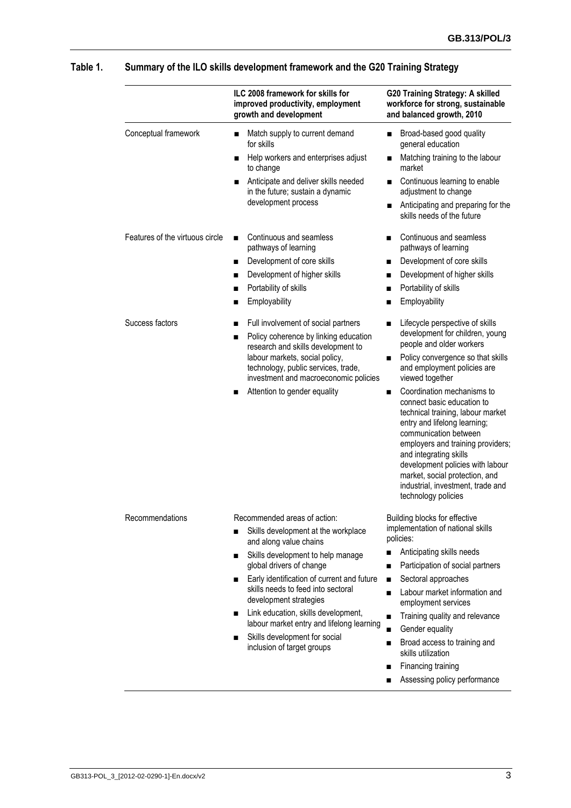|                                 | ILC 2008 framework for skills for<br>improved productivity, employment<br>growth and development | G20 Training Strategy: A skilled<br>workforce for strong, sustainable<br>and balanced growth, 2010                                                                                                                                                                                                                                                      |
|---------------------------------|--------------------------------------------------------------------------------------------------|---------------------------------------------------------------------------------------------------------------------------------------------------------------------------------------------------------------------------------------------------------------------------------------------------------------------------------------------------------|
| Conceptual framework            | Match supply to current demand<br>for skills                                                     | Broad-based good quality<br>$\blacksquare$<br>general education                                                                                                                                                                                                                                                                                         |
|                                 | Help workers and enterprises adjust<br>٠<br>to change                                            | Matching training to the labour<br>٠<br>market                                                                                                                                                                                                                                                                                                          |
|                                 | Anticipate and deliver skills needed<br>in the future; sustain a dynamic                         | Continuous learning to enable<br>adjustment to change                                                                                                                                                                                                                                                                                                   |
|                                 | development process                                                                              | Anticipating and preparing for the<br>٠<br>skills needs of the future                                                                                                                                                                                                                                                                                   |
| Features of the virtuous circle | Continuous and seamless<br>$\blacksquare$<br>pathways of learning                                | Continuous and seamless<br>п<br>pathways of learning                                                                                                                                                                                                                                                                                                    |
|                                 | Development of core skills<br>п                                                                  | Development of core skills<br>п                                                                                                                                                                                                                                                                                                                         |
|                                 | Development of higher skills<br>п                                                                | Development of higher skills<br>п                                                                                                                                                                                                                                                                                                                       |
|                                 | Portability of skills<br>■                                                                       | Portability of skills<br>п                                                                                                                                                                                                                                                                                                                              |
|                                 | Employability<br>п                                                                               | Employability<br>п                                                                                                                                                                                                                                                                                                                                      |
| Success factors                 | Full involvement of social partners                                                              | Lifecycle perspective of skills                                                                                                                                                                                                                                                                                                                         |
|                                 | Policy coherence by linking education<br>■                                                       | development for children, young                                                                                                                                                                                                                                                                                                                         |
|                                 | research and skills development to                                                               | people and older workers                                                                                                                                                                                                                                                                                                                                |
|                                 | labour markets, social policy,                                                                   | Policy convergence so that skills                                                                                                                                                                                                                                                                                                                       |
|                                 | technology, public services, trade,<br>investment and macroeconomic policies                     | and employment policies are<br>viewed together                                                                                                                                                                                                                                                                                                          |
|                                 | Attention to gender equality<br>■                                                                | Coordination mechanisms to<br>connect basic education to<br>technical training, labour market<br>entry and lifelong learning;<br>communication between<br>employers and training providers;<br>and integrating skills<br>development policies with labour<br>market, social protection, and<br>industrial, investment, trade and<br>technology policies |
| Recommendations                 | Recommended areas of action:                                                                     | Building blocks for effective                                                                                                                                                                                                                                                                                                                           |
|                                 | Skills development at the workplace<br>п                                                         | implementation of national skills<br>policies:                                                                                                                                                                                                                                                                                                          |
|                                 | and along value chains<br>Skills development to help manage                                      | Anticipating skills needs<br>п                                                                                                                                                                                                                                                                                                                          |
|                                 | п<br>global drivers of change                                                                    | Participation of social partners<br>п                                                                                                                                                                                                                                                                                                                   |
|                                 | Early identification of current and future                                                       | Sectoral approaches<br>п                                                                                                                                                                                                                                                                                                                                |
|                                 | skills needs to feed into sectoral<br>development strategies                                     | Labour market information and<br>п<br>employment services                                                                                                                                                                                                                                                                                               |
|                                 | Link education, skills development,<br>■                                                         | Training quality and relevance<br>п                                                                                                                                                                                                                                                                                                                     |
|                                 | labour market entry and lifelong learning                                                        | Gender equality<br>п                                                                                                                                                                                                                                                                                                                                    |
|                                 | Skills development for social<br>inclusion of target groups                                      | Broad access to training and<br>п<br>skills utilization                                                                                                                                                                                                                                                                                                 |
|                                 |                                                                                                  | Financing training<br>■                                                                                                                                                                                                                                                                                                                                 |
|                                 |                                                                                                  |                                                                                                                                                                                                                                                                                                                                                         |

## **Table 1. Summary of the ILO skills development framework and the G20 Training Strategy**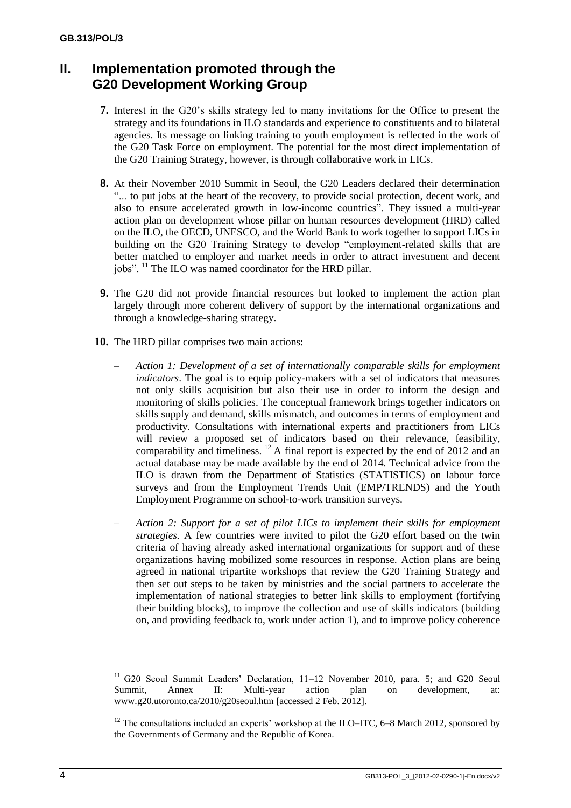## **II. Implementation promoted through the G20 Development Working Group**

- **7.** Interest in the G20's skills strategy led to many invitations for the Office to present the strategy and its foundations in ILO standards and experience to constituents and to bilateral agencies. Its message on linking training to youth employment is reflected in the work of the G20 Task Force on employment. The potential for the most direct implementation of the G20 Training Strategy, however, is through collaborative work in LICs.
- **8.** At their November 2010 Summit in Seoul, the G20 Leaders declared their determination "... to put jobs at the heart of the recovery, to provide social protection, decent work, and also to ensure accelerated growth in low-income countries". They issued a multi-year action plan on development whose pillar on human resources development (HRD) called on the ILO, the OECD, UNESCO, and the World Bank to work together to support LICs in building on the G20 Training Strategy to develop "employment-related skills that are better matched to employer and market needs in order to attract investment and decent jobs". <sup>11</sup> The ILO was named coordinator for the HRD pillar.
- **9.** The G20 did not provide financial resources but looked to implement the action plan largely through more coherent delivery of support by the international organizations and through a knowledge-sharing strategy.
- **10.** The HRD pillar comprises two main actions:
	- *Action 1: Development of a set of internationally comparable skills for employment indicators*. The goal is to equip policy-makers with a set of indicators that measures not only skills acquisition but also their use in order to inform the design and monitoring of skills policies. The conceptual framework brings together indicators on skills supply and demand, skills mismatch, and outcomes in terms of employment and productivity. Consultations with international experts and practitioners from LICs will review a proposed set of indicators based on their relevance, feasibility, comparability and timeliness. <sup>12</sup> A final report is expected by the end of 2012 and an actual database may be made available by the end of 2014. Technical advice from the ILO is drawn from the Department of Statistics (STATISTICS) on labour force surveys and from the Employment Trends Unit (EMP/TRENDS) and the Youth Employment Programme on school-to-work transition surveys.
	- *Action 2: Support for a set of pilot LICs to implement their skills for employment strategies.* A few countries were invited to pilot the G20 effort based on the twin criteria of having already asked international organizations for support and of these organizations having mobilized some resources in response. Action plans are being agreed in national tripartite workshops that review the G20 Training Strategy and then set out steps to be taken by ministries and the social partners to accelerate the implementation of national strategies to better link skills to employment (fortifying their building blocks), to improve the collection and use of skills indicators (building on, and providing feedback to, work under action 1), and to improve policy coherence

<sup>11</sup> G20 Seoul Summit Leaders' Declaration, 11-12 November 2010, para. 5; and G20 Seoul Summit, Annex II: Multi-year action plan on development, at: [www.g20.utoronto.ca/2010/g20seoul.htm](http://www.g20.utoronto.ca/2010/g20seoul.html) [accessed 2 Feb. 2012].

 $12$  The consultations included an experts' workshop at the ILO–ITC, 6–8 March 2012, sponsored by the Governments of Germany and the Republic of Korea.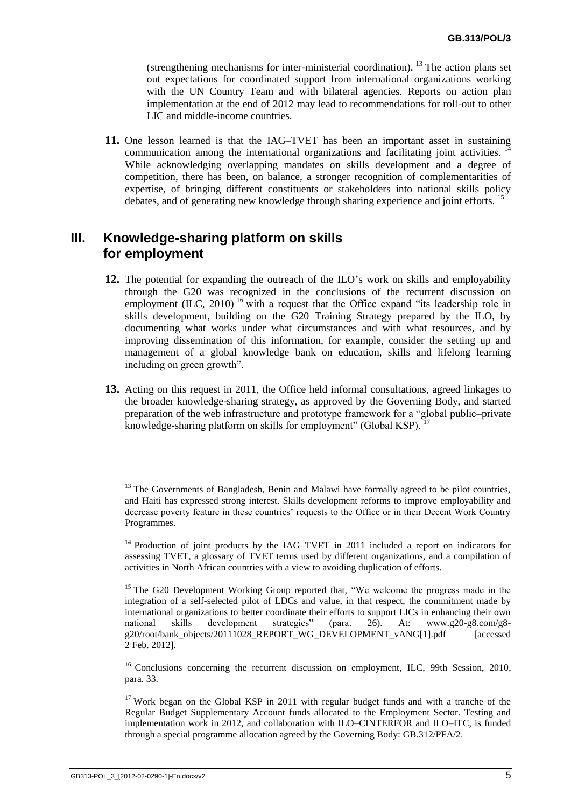(strengthening mechanisms for inter-ministerial coordination). <sup>13</sup> The action plans set out expectations for coordinated support from international organizations working with the UN Country Team and with bilateral agencies. Reports on action plan implementation at the end of 2012 may lead to recommendations for roll-out to other LIC and middle-income countries.

**11.** One lesson learned is that the IAG–TVET has been an important asset in sustaining communication among the international organizations and facilitating joint activities. While acknowledging overlapping mandates on skills development and a degree of competition, there has been, on balance, a stronger recognition of complementarities of expertise, of bringing different constituents or stakeholders into national skills policy debates, and of generating new knowledge through sharing experience and joint efforts.<sup>1</sup>

## **III. Knowledge-sharing platform on skills for employment**

- **12.** The potential for expanding the outreach of the ILO's work on skills and employability through the G20 was recognized in the conclusions of the recurrent discussion on employment (ILC, 2010)<sup>16</sup> with a request that the Office expand "its leadership role in skills development, building on the G20 Training Strategy prepared by the ILO, by documenting what works under what circumstances and with what resources, and by improving dissemination of this information, for example, consider the setting up and management of a global knowledge bank on education, skills and lifelong learning including on green growth".
- **13.** Acting on this request in 2011, the Office held informal consultations, agreed linkages to the broader knowledge-sharing strategy, as approved by the Governing Body, and started preparation of the web infrastructure and prototype framework for a "global public–private knowledge-sharing platform on skills for employment" (Global KSP). <sup>17</sup>

 $16$  Conclusions concerning the recurrent discussion on employment, ILC, 99th Session, 2010, para. 33.

 $17$  Work began on the Global KSP in 2011 with regular budget funds and with a tranche of the Regular Budget Supplementary Account funds allocated to the Employment Sector. Testing and implementation work in 2012, and collaboration with ILO–CINTERFOR and ILO–ITC, is funded through a special programme allocation agreed by the Governing Body: GB.312/PFA/2.

 $13$  The Governments of Bangladesh, Benin and Malawi have formally agreed to be pilot countries, and Haiti has expressed strong interest. Skills development reforms to improve employability and decrease poverty feature in these countries' requests to the Office or in their Decent Work Country Programmes.

 $14$  Production of joint products by the IAG–TVET in 2011 included a report on indicators for assessing TVET, a glossary of TVET terms used by different organizations, and a compilation of activities in North African countries with a view to avoiding duplication of efforts.

<sup>&</sup>lt;sup>15</sup> The G20 Development Working Group reported that, "We welcome the progress made in the integration of a self-selected pilot of LDCs and value, in that respect, the commitment made by international organizations to better coordinate their efforts to support LICs in enhancing their own national skills development strategies" (para. 26). At: [www.g20-g8.com/g8](http://www.g20-g8.com/g8-g20/root/bank_objects/20111028_REPORT_WG_DEVELOPMENT_vANG%5b1%5d.pdf) [g20/root/bank\\_objects/20111028\\_REPORT\\_WG\\_DEVELOPMENT\\_vANG\[1\].pdf](http://www.g20-g8.com/g8-g20/root/bank_objects/20111028_REPORT_WG_DEVELOPMENT_vANG%5b1%5d.pdf) [accessed 2 Feb. 2012].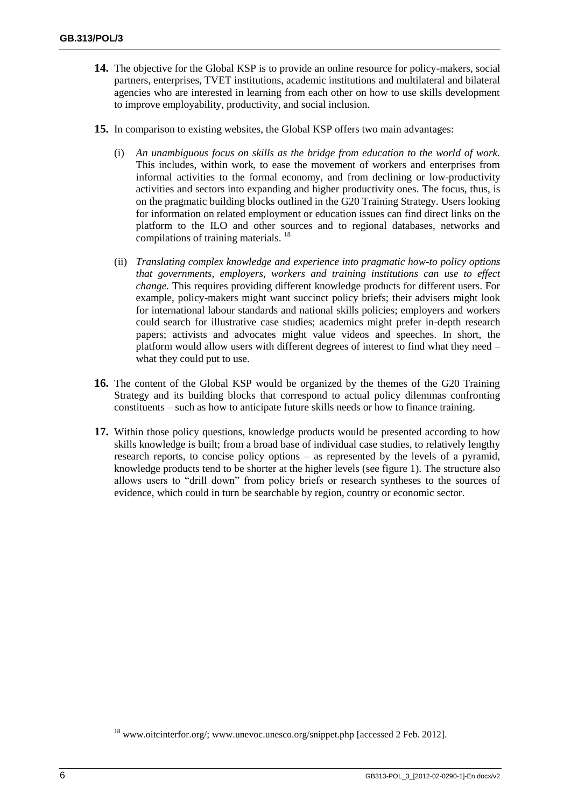- **14.** The objective for the Global KSP is to provide an online resource for policy-makers, social partners, enterprises, TVET institutions, academic institutions and multilateral and bilateral agencies who are interested in learning from each other on how to use skills development to improve employability, productivity, and social inclusion.
- **15.** In comparison to existing websites, the Global KSP offers two main advantages:
	- (i) *An unambiguous focus on skills as the bridge from education to the world of work.* This includes, within work, to ease the movement of workers and enterprises from informal activities to the formal economy, and from declining or low-productivity activities and sectors into expanding and higher productivity ones. The focus, thus, is on the pragmatic building blocks outlined in the G20 Training Strategy. Users looking for information on related employment or education issues can find direct links on the platform to the ILO and other sources and to regional databases, networks and compilations of training materials. <sup>18</sup>
	- (ii) *Translating complex knowledge and experience into pragmatic how-to policy options that governments, employers, workers and training institutions can use to effect change.* This requires providing different knowledge products for different users. For example, policy-makers might want succinct policy briefs; their advisers might look for international labour standards and national skills policies; employers and workers could search for illustrative case studies; academics might prefer in-depth research papers; activists and advocates might value videos and speeches. In short, the platform would allow users with different degrees of interest to find what they need – what they could put to use.
- **16.** The content of the Global KSP would be organized by the themes of the G20 Training Strategy and its building blocks that correspond to actual policy dilemmas confronting constituents – such as how to anticipate future skills needs or how to finance training.
- **17.** Within those policy questions, knowledge products would be presented according to how skills knowledge is built; from a broad base of individual case studies, to relatively lengthy research reports, to concise policy options – as represented by the levels of a pyramid, knowledge products tend to be shorter at the higher levels (see figure 1). The structure also allows users to "drill down" from policy briefs or research syntheses to the sources of evidence, which could in turn be searchable by region, country or economic sector.

<sup>&</sup>lt;sup>18</sup> [www.oitcinterfor.org/;](http://www.oitcinterfor.org/) [www.unevoc.unesco.org/snippet.php](http://www.unevoc.unesco.org/snippet.php) [accessed 2 Feb. 2012].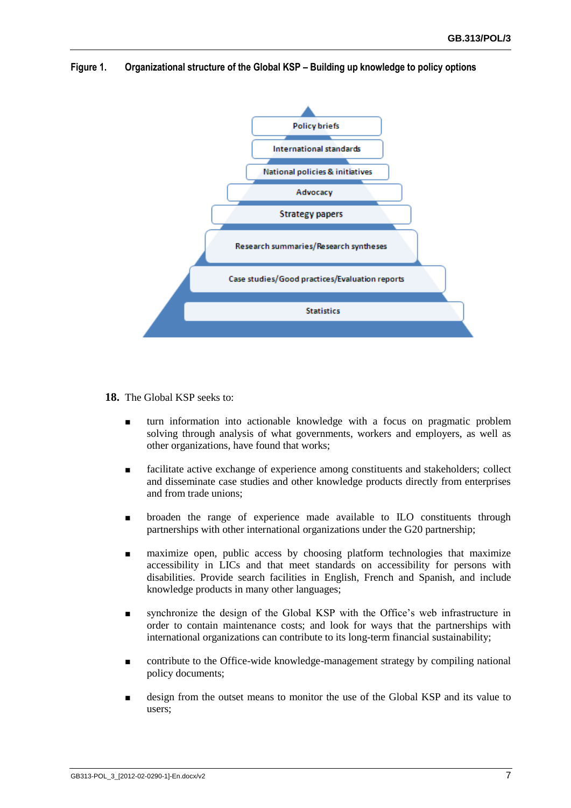

**Figure 1. Organizational structure of the Global KSP – Building up knowledge to policy options**

**18.** The Global KSP seeks to:

- turn information into actionable knowledge with a focus on pragmatic problem solving through analysis of what governments, workers and employers, as well as other organizations, have found that works;
- facilitate active exchange of experience among constituents and stakeholders; collect and disseminate case studies and other knowledge products directly from enterprises and from trade unions;
- broaden the range of experience made available to ILO constituents through partnerships with other international organizations under the G20 partnership;
- maximize open, public access by choosing platform technologies that maximize accessibility in LICs and that meet standards on accessibility for persons with disabilities. Provide search facilities in English, French and Spanish, and include knowledge products in many other languages;
- synchronize the design of the Global KSP with the Office's web infrastructure in order to contain maintenance costs; and look for ways that the partnerships with international organizations can contribute to its long-term financial sustainability;
- contribute to the Office-wide knowledge-management strategy by compiling national policy documents;
- design from the outset means to monitor the use of the Global KSP and its value to users;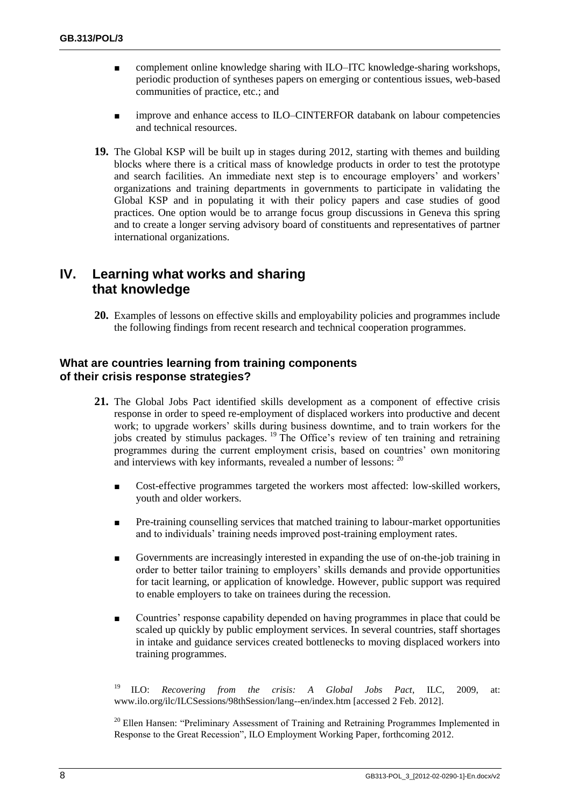- complement online knowledge sharing with ILO–ITC knowledge-sharing workshops, periodic production of syntheses papers on emerging or contentious issues, web-based communities of practice, etc.; and
- improve and enhance access to ILO–CINTERFOR databank on labour competencies and technical resources.
- **19.** The Global KSP will be built up in stages during 2012, starting with themes and building blocks where there is a critical mass of knowledge products in order to test the prototype and search facilities. An immediate next step is to encourage employers' and workers' organizations and training departments in governments to participate in validating the Global KSP and in populating it with their policy papers and case studies of good practices. One option would be to arrange focus group discussions in Geneva this spring and to create a longer serving advisory board of constituents and representatives of partner international organizations.

## **IV. Learning what works and sharing that knowledge**

**20.** Examples of lessons on effective skills and employability policies and programmes include the following findings from recent research and technical cooperation programmes.

## **What are countries learning from training components of their crisis response strategies?**

- **21.** The Global Jobs Pact identified skills development as a component of effective crisis response in order to speed re-employment of displaced workers into productive and decent work; to upgrade workers' skills during business downtime, and to train workers for the jobs created by stimulus packages. <sup>19</sup> The Office's review of ten training and retraining programmes during the current employment crisis, based on countries' own monitoring and interviews with key informants, revealed a number of lessons:  $^{20}$ 
	- Cost-effective programmes targeted the workers most affected: low-skilled workers, youth and older workers.
	- Pre-training counselling services that matched training to labour-market opportunities and to individuals' training needs improved post-training employment rates.
	- Governments are increasingly interested in expanding the use of on-the-job training in order to better tailor training to employers' skills demands and provide opportunities for tacit learning, or application of knowledge. However, public support was required to enable employers to take on trainees during the recession.
	- Countries' response capability depended on having programmes in place that could be scaled up quickly by public employment services. In several countries, staff shortages in intake and guidance services created bottlenecks to moving displaced workers into training programmes.

<sup>19</sup> ILO: *Recovering from the crisis: A Global Jobs Pact*, ILC, 2009, at: [www.ilo.org/ilc/ILCSessions/98thSession/lang--en/index.htm](http://www.ilo.org/ilc/ILCSessions/98thSession/lang--en/index.htm) [accessed 2 Feb. 2012].

<sup>20</sup> Ellen Hansen: "Preliminary Assessment of Training and Retraining Programmes Implemented in Response to the Great Recession", ILO Employment Working Paper, forthcoming 2012.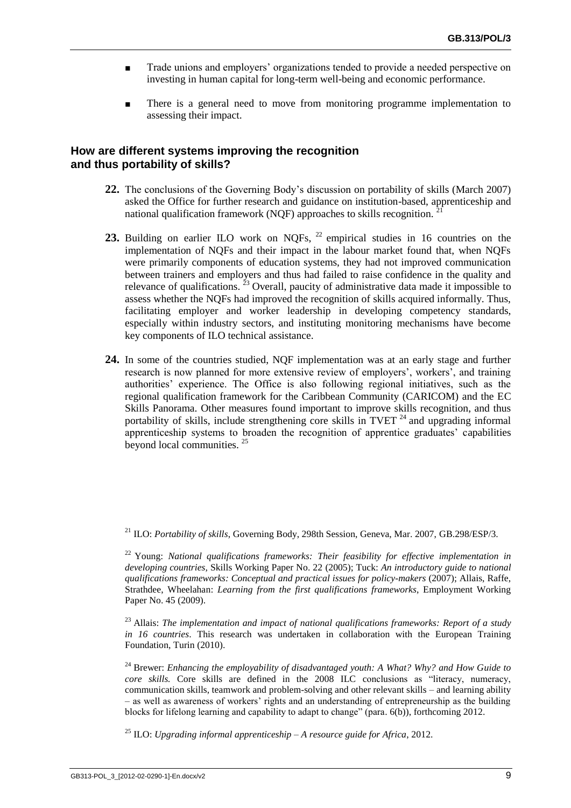- Trade unions and employers' organizations tended to provide a needed perspective on investing in human capital for long-term well-being and economic performance.
- There is a general need to move from monitoring programme implementation to assessing their impact.

### **How are different systems improving the recognition and thus portability of skills?**

- **22.** The conclusions of the Governing Body's discussion on portability of skills (March 2007) asked the Office for further research and guidance on institution-based, apprenticeship and national qualification framework (NQF) approaches to skills recognition.
- 23. Building on earlier ILO work on NQFs, <sup>22</sup> empirical studies in 16 countries on the implementation of NQFs and their impact in the labour market found that, when NQFs were primarily components of education systems, they had not improved communication between trainers and employers and thus had failed to raise confidence in the quality and relevance of qualifications.  $^{23}$  Overall, paucity of administrative data made it impossible to assess whether the NQFs had improved the recognition of skills acquired informally. Thus, facilitating employer and worker leadership in developing competency standards, especially within industry sectors, and instituting monitoring mechanisms have become key components of ILO technical assistance.
- **24.** In some of the countries studied, NQF implementation was at an early stage and further research is now planned for more extensive review of employers', workers', and training authorities' experience. The Office is also following regional initiatives, such as the regional qualification framework for the Caribbean Community (CARICOM) and the EC Skills Panorama. Other measures found important to improve skills recognition, and thus portability of skills, include strengthening core skills in TVET  $^{24}$  and upgrading informal apprenticeship systems to broaden the recognition of apprentice graduates' capabilities beyond local communities. <sup>25</sup>

<sup>21</sup> ILO: *Portability of skills*, Governing Body, 298th Session, Geneva, Mar. 2007, GB.298/ESP/3.

<sup>&</sup>lt;sup>22</sup> Young: *National qualifications frameworks: Their feasibility for effective implementation in developing countries,* Skills Working Paper No. 22 (2005); Tuck: *An introductory guide to national qualifications frameworks: Conceptual and practical issues for policy-makers* (2007); Allais, Raffe, Strathdee, Wheelahan: *Learning from the first qualifications frameworks*, Employment Working Paper No. 45 (2009).

<sup>23</sup> Allais: *The implementation and impact of national qualifications frameworks: Report of a study in 16 countries*. This research was undertaken in collaboration with the European Training Foundation, Turin (2010).

<sup>24</sup> Brewer: *Enhancing the employability of disadvantaged youth: A What? Why? and How Guide to core skills.* Core skills are defined in the 2008 ILC conclusions as "literacy, numeracy, communication skills, teamwork and problem-solving and other relevant skills – and learning ability – as well as awareness of workers' rights and an understanding of entrepreneurship as the building blocks for lifelong learning and capability to adapt to change" (para. 6(b)), forthcoming 2012.

<sup>25</sup> ILO: *Upgrading informal apprenticeship – A resource guide for Africa*, 2012.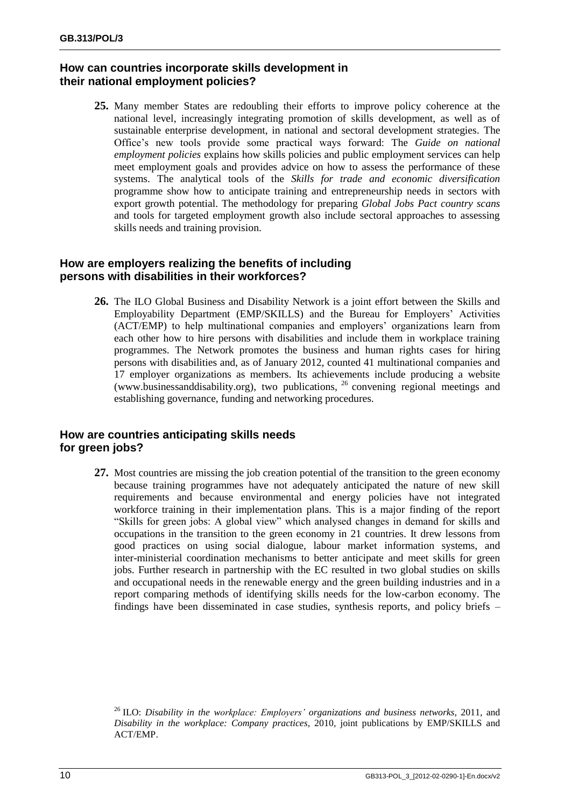## **How can countries incorporate skills development in their national employment policies?**

**25.** Many member States are redoubling their efforts to improve policy coherence at the national level, increasingly integrating promotion of skills development, as well as of sustainable enterprise development, in national and sectoral development strategies. The Office's new tools provide some practical ways forward: The *Guide on national employment policies* explains how skills policies and public employment services can help meet employment goals and provides advice on how to assess the performance of these systems. The analytical tools of the *Skills for trade and economic diversification* programme show how to anticipate training and entrepreneurship needs in sectors with export growth potential. The methodology for preparing *Global Jobs Pact country scans* and tools for targeted employment growth also include sectoral approaches to assessing skills needs and training provision.

## **How are employers realizing the benefits of including persons with disabilities in their workforces?**

**26.** The ILO Global Business and Disability Network is a joint effort between the Skills and Employability Department (EMP/SKILLS) and the Bureau for Employers' Activities (ACT/EMP) to help multinational companies and employers' organizations learn from each other how to hire persons with disabilities and include them in workplace training programmes. The Network promotes the business and human rights cases for hiring persons with disabilities and, as of January 2012, counted 41 multinational companies and 17 employer organizations as members. Its achievements include producing a website [\(www.businessanddisability.org\)](http://www.businessanddisability.org/), two publications, <sup>26</sup> convening regional meetings and establishing governance, funding and networking procedures.

## **How are countries anticipating skills needs for green jobs?**

**27.** Most countries are missing the job creation potential of the transition to the green economy because training programmes have not adequately anticipated the nature of new skill requirements and because environmental and energy policies have not integrated workforce training in their implementation plans. This is a major finding of the report "Skills for green jobs: A global view" which analysed changes in demand for skills and occupations in the transition to the green economy in 21 countries. It drew lessons from good practices on using social dialogue, labour market information systems, and inter-ministerial coordination mechanisms to better anticipate and meet skills for green jobs. Further research in partnership with the EC resulted in two global studies on skills and occupational needs in the renewable energy and the green building industries and in a report comparing methods of identifying skills needs for the low-carbon economy. The findings have been disseminated in case studies, synthesis reports, and policy briefs –

<sup>26</sup> ILO: *Disability in the workplace: Employers' organizations and business networks*, 2011, and *Disability in the workplace: Company practices*, 2010, joint publications by EMP/SKILLS and ACT/EMP.